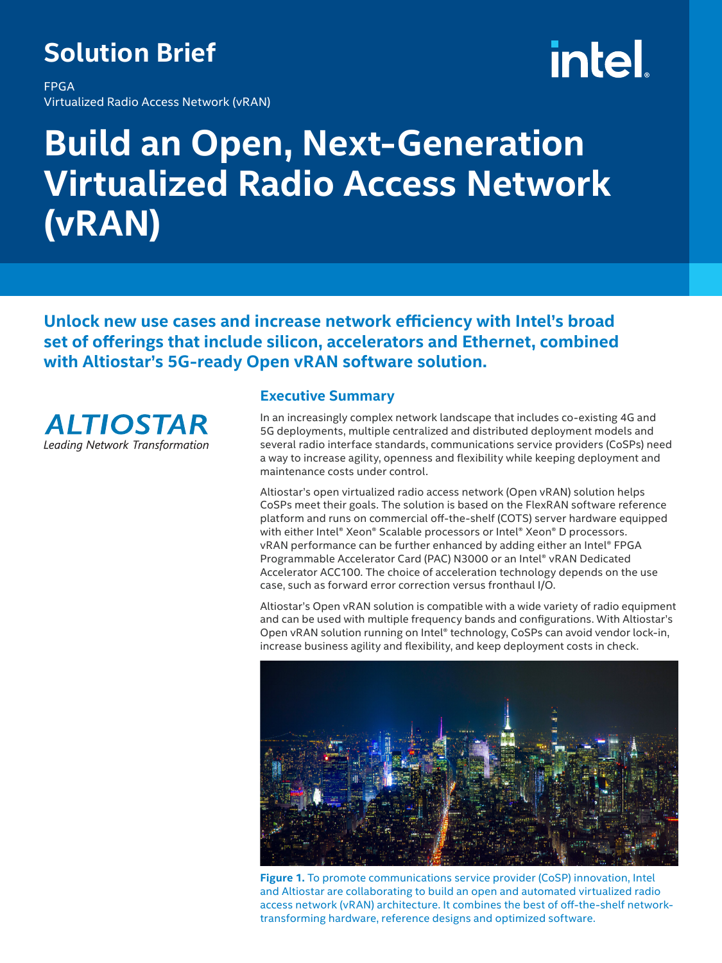### **Solution Brief**

FPGA Virtualized Radio Access Network (vRAN)

## **intel**

### **Build an Open, Next-Generation Virtualized Radio Access Network (vRAN)**

**Unlock new use cases and increase network efficiency with Intel's broad set of offerings that include silicon, accelerators and Ethernet, combined with Altiostar's 5G-ready Open vRAN software solution.**



#### **Executive Summary**

In an increasingly complex network landscape that includes co-existing 4G and 5G deployments, multiple centralized and distributed deployment models and several radio interface standards, communications service providers (CoSPs) need a way to increase agility, openness and flexibility while keeping deployment and maintenance costs under control.

Altiostar's open virtualized radio access network (Open vRAN) solution helps CoSPs meet their goals. The solution is based on the FlexRAN software reference platform and runs on commercial off-the-shelf (COTS) server hardware equipped with either Intel® Xeon® Scalable processors or Intel® Xeon® D processors. vRAN performance can be further enhanced by adding either an Intel® FPGA Programmable Accelerator Card (PAC) N3000 or an Intel® vRAN Dedicated Accelerator ACC100. The choice of acceleration technology depends on the use case, such as forward error correction versus fronthaul I/O.

Altiostar's Open vRAN solution is compatible with a wide variety of radio equipment and can be used with multiple frequency bands and configurations. With Altiostar's Open vRAN solution running on Intel® technology, CoSPs can avoid vendor lock-in, increase business agility and flexibility, and keep deployment costs in check.



**Figure 1.** To promote communications service provider (CoSP) innovation, Intel and Altiostar are collaborating to build an open and automated virtualized radio access network (vRAN) architecture. It combines the best of off-the-shelf networktransforming hardware, reference designs and optimized software.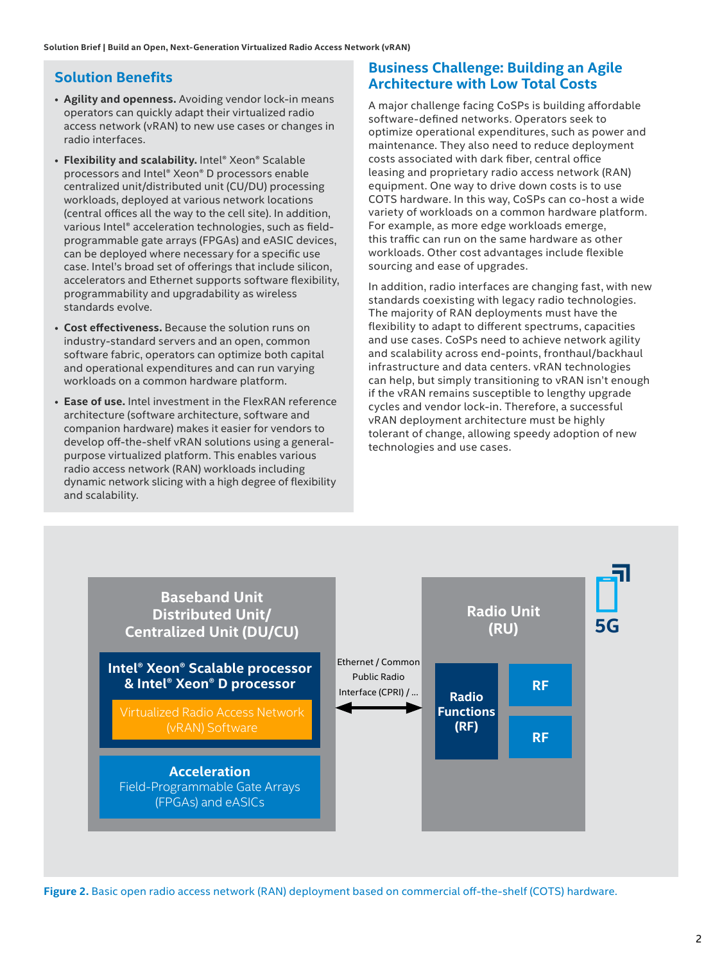#### **Solution Benefits**

- **Agility and openness.** Avoiding vendor lock-in means operators can quickly adapt their virtualized radio access network (vRAN) to new use cases or changes in radio interfaces.
- • **Flexibility and scalability.** Intel® Xeon® Scalable processors and Intel® Xeon® D processors enable centralized unit/distributed unit (CU/DU) processing workloads, deployed at various network locations (central offices all the way to the cell site). In addition, various Intel® acceleration technologies, such as fieldprogrammable gate arrays (FPGAs) and eASIC devices, can be deployed where necessary for a specific use case. Intel's broad set of offerings that include silicon, accelerators and Ethernet supports software flexibility, programmability and upgradability as wireless standards evolve.
- **Cost effectiveness.** Because the solution runs on industry-standard servers and an open, common software fabric, operators can optimize both capital and operational expenditures and can run varying workloads on a common hardware platform.
- **Ease of use.** Intel investment in the FlexRAN reference architecture (software architecture, software and companion hardware) makes it easier for vendors to develop off-the-shelf vRAN solutions using a generalpurpose virtualized platform. This enables various radio access network (RAN) workloads including dynamic network slicing with a high degree of flexibility and scalability.

#### **Business Challenge: Building an Agile Architecture with Low Total Costs**

A major challenge facing CoSPs is building affordable software-defined networks. Operators seek to optimize operational expenditures, such as power and maintenance. They also need to reduce deployment costs associated with dark fiber, central office leasing and proprietary radio access network (RAN) equipment. One way to drive down costs is to use COTS hardware. In this way, CoSPs can co-host a wide variety of workloads on a common hardware platform. For example, as more edge workloads emerge, this traffic can run on the same hardware as other workloads. Other cost advantages include flexible sourcing and ease of upgrades.

In addition, radio interfaces are changing fast, with new standards coexisting with legacy radio technologies. The majority of RAN deployments must have the flexibility to adapt to different spectrums, capacities and use cases. CoSPs need to achieve network agility and scalability across end-points, fronthaul/backhaul infrastructure and data centers. vRAN technologies can help, but simply transitioning to vRAN isn't enough if the vRAN remains susceptible to lengthy upgrade cycles and vendor lock-in. Therefore, a successful vRAN deployment architecture must be highly tolerant of change, allowing speedy adoption of new technologies and use cases.



**Figure 2.** Basic open radio access network (RAN) deployment based on commercial off-the-shelf (COTS) hardware.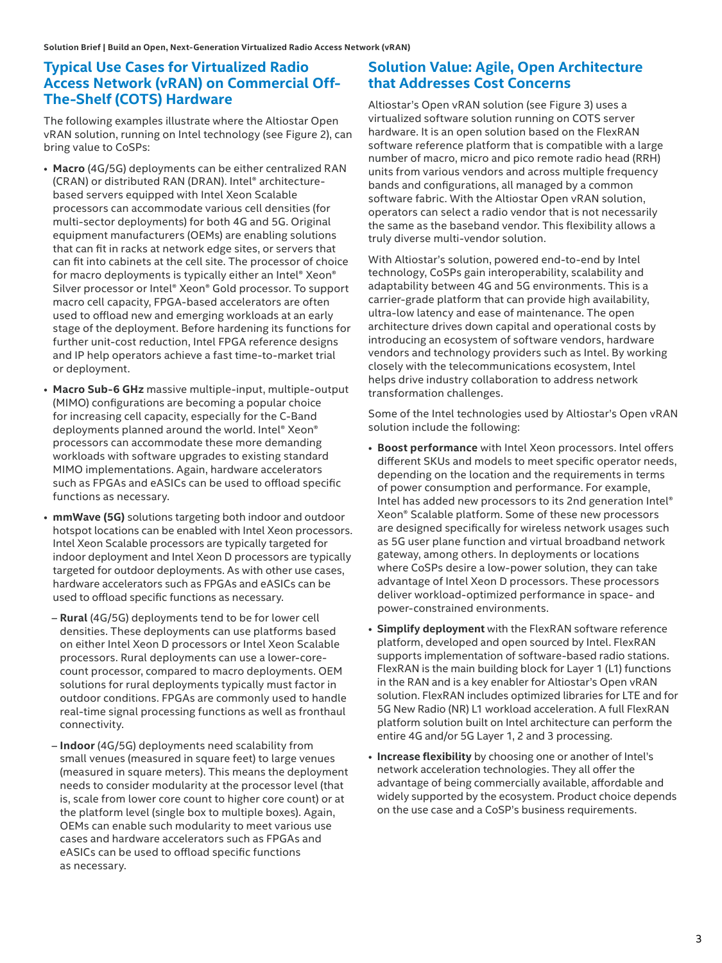#### **Typical Use Cases for Virtualized Radio Access Network (vRAN) on Commercial Off-The-Shelf (COTS) Hardware**

The following examples illustrate where the Altiostar Open vRAN solution, running on Intel technology (see Figure 2), can bring value to CoSPs:

- **Macro** (4G/5G) deployments can be either centralized RAN (CRAN) or distributed RAN (DRAN). Intel® architecturebased servers equipped with Intel Xeon Scalable processors can accommodate various cell densities (for multi-sector deployments) for both 4G and 5G. Original equipment manufacturers (OEMs) are enabling solutions that can fit in racks at network edge sites, or servers that can fit into cabinets at the cell site. The processor of choice for macro deployments is typically either an Intel® Xeon® Silver processor or Intel® Xeon® Gold processor. To support macro cell capacity, FPGA-based accelerators are often used to offload new and emerging workloads at an early stage of the deployment. Before hardening its functions for further unit-cost reduction, Intel FPGA reference designs and IP help operators achieve a fast time-to-market trial or deployment.
- **Macro Sub-6 GHz** massive multiple-input, multiple-output (MIMO) configurations are becoming a popular choice for increasing cell capacity, especially for the C-Band deployments planned around the world. Intel® Xeon® processors can accommodate these more demanding workloads with software upgrades to existing standard MIMO implementations. Again, hardware accelerators such as FPGAs and eASICs can be used to offload specific functions as necessary.
- **mmWave (5G)** solutions targeting both indoor and outdoor hotspot locations can be enabled with Intel Xeon processors. Intel Xeon Scalable processors are typically targeted for indoor deployment and Intel Xeon D processors are typically targeted for outdoor deployments. As with other use cases, hardware accelerators such as FPGAs and eASICs can be used to offload specific functions as necessary.
- **Rural** (4G/5G) deployments tend to be for lower cell densities. These deployments can use platforms based on either Intel Xeon D processors or Intel Xeon Scalable processors. Rural deployments can use a lower-corecount processor, compared to macro deployments. OEM solutions for rural deployments typically must factor in outdoor conditions. FPGAs are commonly used to handle real-time signal processing functions as well as fronthaul connectivity.
- **Indoor** (4G/5G) deployments need scalability from small venues (measured in square feet) to large venues (measured in square meters). This means the deployment needs to consider modularity at the processor level (that is, scale from lower core count to higher core count) or at the platform level (single box to multiple boxes). Again, OEMs can enable such modularity to meet various use cases and hardware accelerators such as FPGAs and eASICs can be used to offload specific functions as necessary.

#### **Solution Value: Agile, Open Architecture that Addresses Cost Concerns**

Altiostar's Open vRAN solution (see Figure 3) uses a virtualized software solution running on COTS server hardware. It is an open solution based on the FlexRAN software reference platform that is compatible with a large number of macro, micro and pico remote radio head (RRH) units from various vendors and across multiple frequency bands and configurations, all managed by a common software fabric. With the Altiostar Open vRAN solution, operators can select a radio vendor that is not necessarily the same as the baseband vendor. This flexibility allows a truly diverse multi-vendor solution.

With Altiostar's solution, powered end-to-end by Intel technology, CoSPs gain interoperability, scalability and adaptability between 4G and 5G environments. This is a carrier-grade platform that can provide high availability, ultra-low latency and ease of maintenance. The open architecture drives down capital and operational costs by introducing an ecosystem of software vendors, hardware vendors and technology providers such as Intel. By working closely with the telecommunications ecosystem, Intel helps drive industry collaboration to address network transformation challenges.

Some of the Intel technologies used by Altiostar's Open vRAN solution include the following:

- **Boost performance** with Intel Xeon processors. Intel offers different SKUs and models to meet specific operator needs, depending on the location and the requirements in terms of power consumption and performance. For example, Intel has added new processors to its 2nd generation Intel® Xeon® Scalable platform. Some of these new processors are designed specifically for wireless network usages such as 5G user plane function and virtual broadband network gateway, among others. In deployments or locations where CoSPs desire a low-power solution, they can take advantage of Intel Xeon D processors. These processors deliver workload-optimized performance in space- and power-constrained environments.
- **Simplify deployment** with the FlexRAN software reference platform, developed and open sourced by Intel. FlexRAN supports implementation of software-based radio stations. FlexRAN is the main building block for Layer 1 (L1) functions in the RAN and is a key enabler for Altiostar's Open vRAN solution. FlexRAN includes optimized libraries for LTE and for 5G New Radio (NR) L1 workload acceleration. A full FlexRAN platform solution built on Intel architecture can perform the entire 4G and/or 5G Layer 1, 2 and 3 processing.
- **Increase flexibility** by choosing one or another of Intel's network acceleration technologies. They all offer the advantage of being commercially available, affordable and widely supported by the ecosystem. Product choice depends on the use case and a CoSP's business requirements.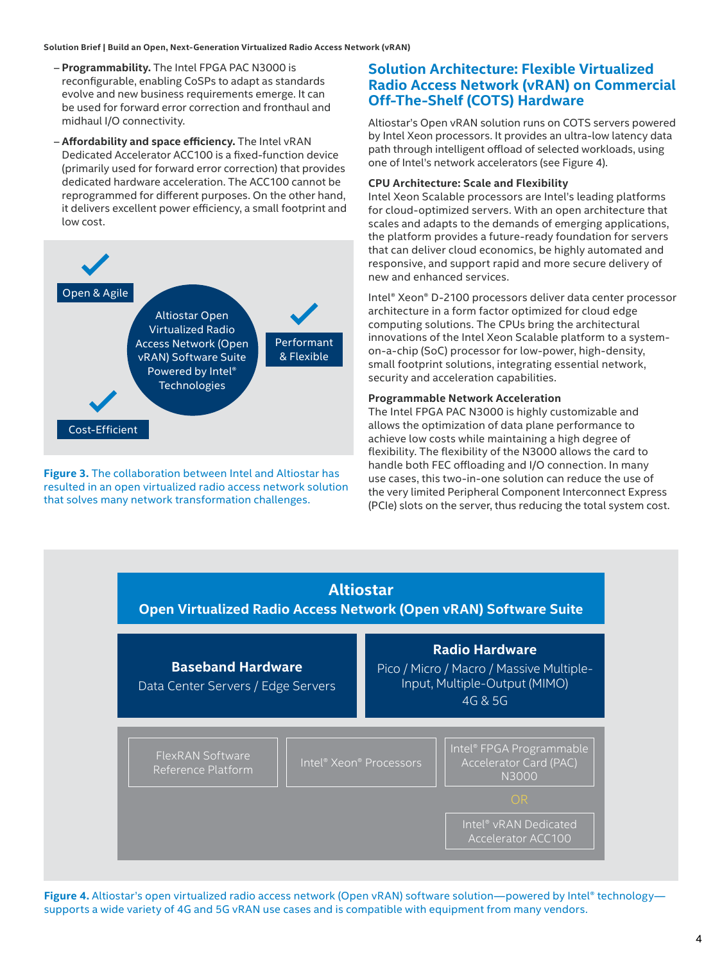#### **Solution Brief | Build an Open, Next-Generation Virtualized Radio Access Network (vRAN)**

- **Programmability.** The Intel FPGA PAC N3000 is reconfigurable, enabling CoSPs to adapt as standards evolve and new business requirements emerge. It can be used for forward error correction and fronthaul and midhaul I/O connectivity.
- **Affordability and space efficiency.** The Intel vRAN Dedicated Accelerator ACC100 is a fixed-function device (primarily used for forward error correction) that provides dedicated hardware acceleration. The ACC100 cannot be reprogrammed for different purposes. On the other hand, it delivers excellent power efficiency, a small footprint and low cost.



**Figure 3.** The collaboration between Intel and Altiostar has resulted in an open virtualized radio access network solution that solves many network transformation challenges.

#### **Solution Architecture: Flexible Virtualized Radio Access Network (vRAN) on Commercial Off-The-Shelf (COTS) Hardware**

Altiostar's Open vRAN solution runs on COTS servers powered by Intel Xeon processors. It provides an ultra-low latency data path through intelligent offload of selected workloads, using one of Intel's network accelerators (see Figure 4).

#### **CPU Architecture: Scale and Flexibility**

Intel Xeon Scalable processors are Intel's leading platforms for cloud-optimized servers. With an open architecture that scales and adapts to the demands of emerging applications, the platform provides a future-ready foundation for servers that can deliver cloud economics, be highly automated and responsive, and support rapid and more secure delivery of new and enhanced services.

Intel® Xeon® D-2100 processors deliver data center processor architecture in a form factor optimized for cloud edge computing solutions. The CPUs bring the architectural innovations of the Intel Xeon Scalable platform to a systemon-a-chip (SoC) processor for low-power, high-density, small footprint solutions, integrating essential network, security and acceleration capabilities.

#### **Programmable Network Acceleration**

The Intel FPGA PAC N3000 is highly customizable and allows the optimization of data plane performance to achieve low costs while maintaining a high degree of flexibility. The flexibility of the N3000 allows the card to handle both FEC offloading and I/O connection. In many use cases, this two-in-one solution can reduce the use of the very limited Peripheral Component Interconnect Express (PCIe) slots on the server, thus reducing the total system cost.



Figure 4. Altiostar's open virtualized radio access network (Open vRAN) software solution—powered by Intel® technology supports a wide variety of 4G and 5G vRAN use cases and is compatible with equipment from many vendors.